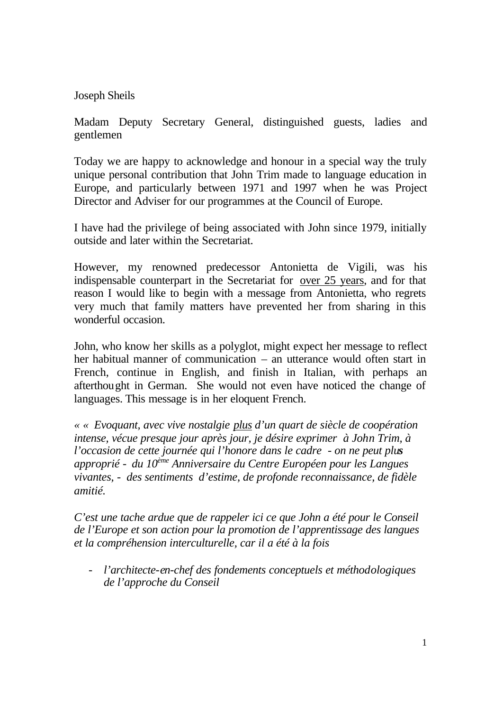Joseph Sheils

Madam Deputy Secretary General, distinguished guests, ladies and gentlemen

Today we are happy to acknowledge and honour in a special way the truly unique personal contribution that John Trim made to language education in Europe, and particularly between 1971 and 1997 when he was Project Director and Adviser for our programmes at the Council of Europe.

I have had the privilege of being associated with John since 1979, initially outside and later within the Secretariat.

However, my renowned predecessor Antonietta de Vigili, was his indispensable counterpart in the Secretariat for over 25 years, and for that reason I would like to begin with a message from Antonietta, who regrets very much that family matters have prevented her from sharing in this wonderful occasion.

John, who know her skills as a polyglot, might expect her message to reflect her habitual manner of communication – an utterance would often start in French, continue in English, and finish in Italian, with perhaps an afterthought in German. She would not even have noticed the change of languages. This message is in her eloquent French.

*« « Evoquant, avec vive nostalgie plus d'un quart de siècle de coopération intense, vécue presque jour après jour, je désire exprimer à John Trim, à l'occasion de cette journée qui l'honore dans le cadre - on ne peut plus approprié - du 10ème Anniversaire du Centre Européen pour les Langues vivantes, - des sentiments d'estime, de profonde reconnaissance, de fidèle amitié.* 

*C'est une tache ardue que de rappeler ici ce que John a été pour le Conseil de l'Europe et son action pour la promotion de l'apprentissage des langues et la compréhension interculturelle, car il a été à la fois* 

- *l'architecte-en-chef des fondements conceptuels et méthodologiques de l'approche du Conseil*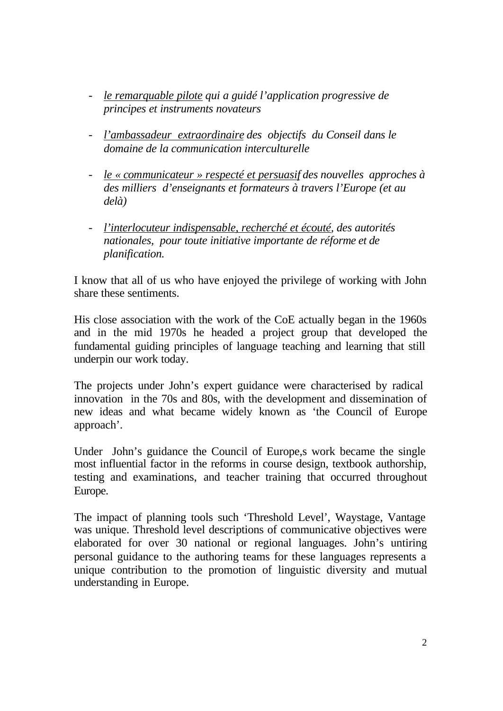- *le remarquable pilote qui a guidé l'application progressive de principes et instruments novateurs*
- *l'ambassadeur extraordinaire des objectifs du Conseil dans le domaine de la communication interculturelle*
- *le « communicateur » respecté et persuasif des nouvelles approches à des milliers d'enseignants et formateurs à travers l'Europe (et au delà)*
- *l'interlocuteur indispensable, recherché et écouté, des autorités nationales, pour toute initiative importante de réforme et de planification.*

I know that all of us who have enjoyed the privilege of working with John share these sentiments.

His close association with the work of the CoE actually began in the 1960s and in the mid 1970s he headed a project group that developed the fundamental guiding principles of language teaching and learning that still underpin our work today.

The projects under John's expert guidance were characterised by radical innovation in the 70s and 80s, with the development and dissemination of new ideas and what became widely known as 'the Council of Europe approach'.

Under John's guidance the Council of Europe,s work became the single most influential factor in the reforms in course design, textbook authorship, testing and examinations, and teacher training that occurred throughout Europe.

The impact of planning tools such 'Threshold Level', Waystage, Vantage was unique. Threshold level descriptions of communicative objectives were elaborated for over 30 national or regional languages. John's untiring personal guidance to the authoring teams for these languages represents a unique contribution to the promotion of linguistic diversity and mutual understanding in Europe.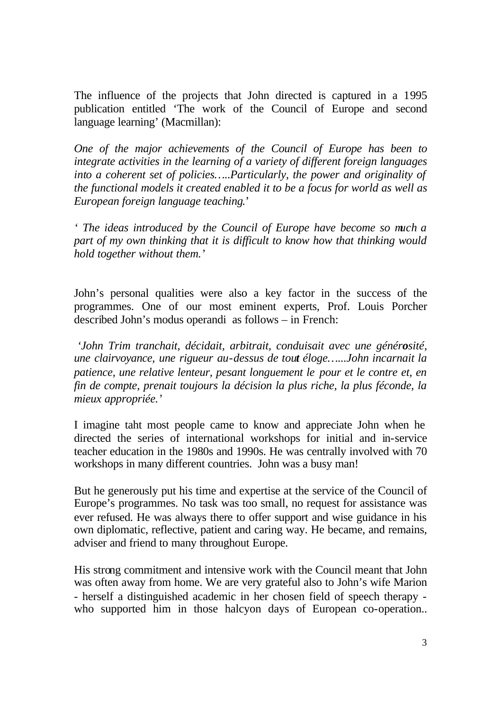The influence of the projects that John directed is captured in a 1995 publication entitled 'The work of the Council of Europe and second language learning' (Macmillan):

*One of the major achievements of the Council of Europe has been to integrate activities in the learning of a variety of different foreign languages into a coherent set of policies…..Particularly, the power and originality of the functional models it created enabled it to be a focus for world as well as European foreign language teaching*.'

*' The ideas introduced by the Council of Europe have become so much a part of my own thinking that it is difficult to know how that thinking would hold together without them.'*

John's personal qualities were also a key factor in the success of the programmes. One of our most eminent experts, Prof. Louis Porcher described John's modus operandi as follows – in French:

*'John Trim tranchait, décidait, arbitrait, conduisait avec une générosité, une clairvoyance, une rigueur au-dessus de tout éloge…...John incarnait la patience, une relative lenteur, pesant longuement le pour et le contre et, en fin de compte, prenait toujours la décision la plus riche, la plus féconde, la mieux appropriée.'*

I imagine taht most people came to know and appreciate John when he directed the series of international workshops for initial and in-service teacher education in the 1980s and 1990s. He was centrally involved with 70 workshops in many different countries. John was a busy man!

But he generously put his time and expertise at the service of the Council of Europe's programmes. No task was too small, no request for assistance was ever refused. He was always there to offer support and wise guidance in his own diplomatic, reflective, patient and caring way. He became, and remains, adviser and friend to many throughout Europe.

His strong commitment and intensive work with the Council meant that John was often away from home. We are very grateful also to John's wife Marion - herself a distinguished academic in her chosen field of speech therapy who supported him in those halcyon days of European co-operation..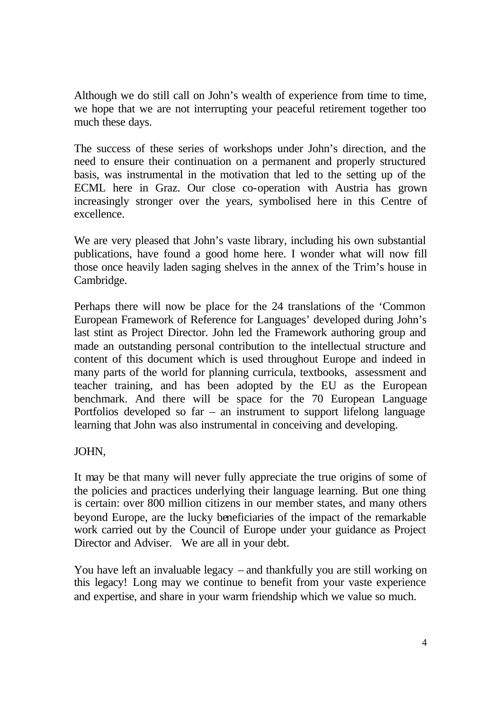Although we do still call on John's wealth of experience from time to time, we hope that we are not interrupting your peaceful retirement together too much these days.

The success of these series of workshops under John's direction, and the need to ensure their continuation on a permanent and properly structured basis, was instrumental in the motivation that led to the setting up of the ECML here in Graz. Our close co-operation with Austria has grown increasingly stronger over the years, symbolised here in this Centre of excellence.

We are very pleased that John's vaste library, including his own substantial publications, have found a good home here. I wonder what will now fill those once heavily laden saging shelves in the annex of the Trim's house in Cambridge.

Perhaps there will now be place for the 24 translations of the 'Common European Framework of Reference for Languages' developed during John's last stint as Project Director. John led the Framework authoring group and made an outstanding personal contribution to the intellectual structure and content of this document which is used throughout Europe and indeed in many parts of the world for planning curricula, textbooks, assessment and teacher training, and has been adopted by the EU as the European benchmark. And there will be space for the 70 European Language Portfolios developed so far – an instrument to support lifelong language learning that John was also instrumental in conceiving and developing.

## JOHN,

It may be that many will never fully appreciate the true origins of some of the policies and practices underlying their language learning. But one thing is certain: over 800 million citizens in our member states, and many others beyond Europe, are the lucky beneficiaries of the impact of the remarkable work carried out by the Council of Europe under your guidance as Project Director and Adviser. We are all in your debt.

You have left an invaluable legacy – and thankfully you are still working on this legacy! Long may we continue to benefit from your vaste experience and expertise, and share in your warm friendship which we value so much.